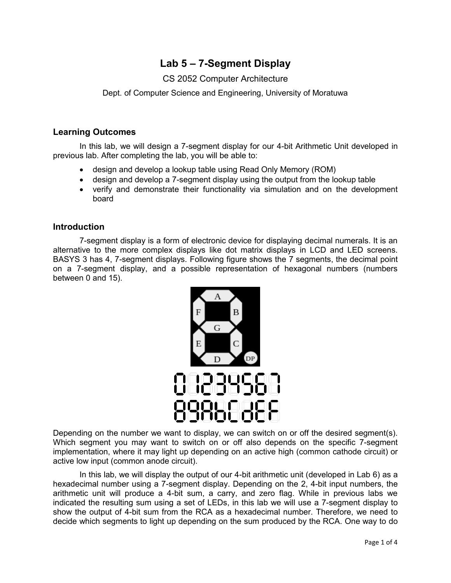# **Lab 5 – 7-Segment Display**

## CS 2052 Computer Architecture

Dept. of Computer Science and Engineering, University of Moratuwa

#### **Learning Outcomes**

In this lab, we will design a 7-segment display for our 4-bit Arithmetic Unit developed in previous lab. After completing the lab, you will be able to:

- design and develop a lookup table using Read Only Memory (ROM)
- design and develop a 7-segment display using the output from the lookup table
- verify and demonstrate their functionality via simulation and on the development board

#### **Introduction**

7-segment display is a form of electronic device for displaying decimal numerals. It is an alternative to the more complex displays like dot matrix displays in LCD and LED screens. BASYS 3 has 4, 7-segment displays. Following figure shows the 7 segments, the decimal point on a 7-segment display, and a possible representation of hexagonal numbers (numbers between 0 and 15).



Depending on the number we want to display, we can switch on or off the desired segment(s). Which segment you may want to switch on or off also depends on the specific 7-segment implementation, where it may light up depending on an active high (common cathode circuit) or active low input (common anode circuit).

In this lab, we will display the output of our 4-bit arithmetic unit (developed in Lab 6) as a hexadecimal number using a 7-segment display. Depending on the 2, 4-bit input numbers, the arithmetic unit will produce a 4-bit sum, a carry, and zero flag. While in previous labs we indicated the resulting sum using a set of LEDs, in this lab we will use a 7-segment display to show the output of 4-bit sum from the RCA as a hexadecimal number. Therefore, we need to decide which segments to light up depending on the sum produced by the RCA. One way to do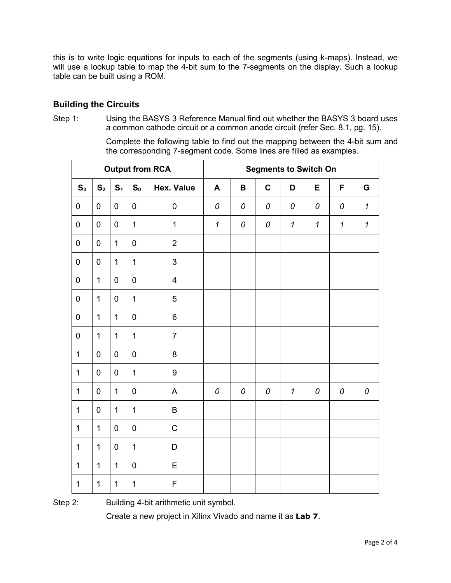this is to write logic equations for inputs to each of the segments (using k-maps). Instead, we will use a lookup table to map the 4-bit sum to the 7-segments on the display. Such a lookup table can be built using a ROM.

## **Building the Circuits**

Step 1: Using the BASYS 3 Reference Manual find out whether the BASYS 3 board uses a common cathode circuit or a common anode circuit (refer Sec. 8.1, pg. 15).

> Complete the following table to find out the mapping between the 4-bit sum and the corresponding 7-segment code. Some lines are filled as examples.

| <b>Output from RCA</b> |                |                |                  |                   | <b>Segments to Switch On</b> |             |             |                            |                            |                            |                            |
|------------------------|----------------|----------------|------------------|-------------------|------------------------------|-------------|-------------|----------------------------|----------------------------|----------------------------|----------------------------|
| S <sub>3</sub>         | S <sub>2</sub> | S <sub>1</sub> | S <sub>0</sub>   | <b>Hex. Value</b> | A                            | $\mathbf B$ | $\mathbf c$ | D                          | E                          | F                          | G                          |
| $\pmb{0}$              | $\mathbf 0$    | $\mathbf 0$    | $\mathbf 0$      | $\boldsymbol{0}$  | 0                            | 0           | 0           | 0                          | 0                          | 0                          | $\mathbf{1}$               |
| $\pmb{0}$              | $\pmb{0}$      | $\pmb{0}$      | $\mathbf 1$      | $\mathbf{1}$      | $\boldsymbol{\mathcal{I}}$   | 0           | 0           | $\boldsymbol{\mathcal{L}}$ | $\boldsymbol{\mathcal{L}}$ | $\boldsymbol{\mathcal{L}}$ | $\boldsymbol{\mathcal{I}}$ |
| $\pmb{0}$              | $\mathbf 0$    | $\mathbf{1}$   | $\mathbf 0$      | $\overline{2}$    |                              |             |             |                            |                            |                            |                            |
| $\pmb{0}$              | $\pmb{0}$      | $\mathbf{1}$   | $\overline{1}$   | 3                 |                              |             |             |                            |                            |                            |                            |
| $\mathbf 0$            | $\mathbf{1}$   | $\mathbf 0$    | $\mathbf 0$      | 4                 |                              |             |             |                            |                            |                            |                            |
| $\mathbf 0$            | $\mathbf{1}$   | $\mathbf 0$    | $\mathbf{1}$     | 5                 |                              |             |             |                            |                            |                            |                            |
| $\mathbf 0$            | $\mathbf{1}$   | $\mathbf{1}$   | $\mathbf 0$      | $6\phantom{1}$    |                              |             |             |                            |                            |                            |                            |
| $\pmb{0}$              | $\mathbf{1}$   | $\mathbf{1}$   | 1                | $\overline{7}$    |                              |             |             |                            |                            |                            |                            |
| $\mathbf{1}$           | $\mathbf 0$    | $\mathbf 0$    | $\mathbf 0$      | 8                 |                              |             |             |                            |                            |                            |                            |
| $\mathbf{1}$           | $\pmb{0}$      | $\mathbf 0$    | $\mathbf{1}$     | $\boldsymbol{9}$  |                              |             |             |                            |                            |                            |                            |
| $\mathbf 1$            | $\pmb{0}$      | $\mathbf{1}$   | $\mathbf 0$      | A                 | 0                            | 0           | 0           | $\boldsymbol{\mathcal{L}}$ | 0                          | 0                          | 0                          |
| $\mathbf{1}$           | $\mathbf 0$    | $\mathbf{1}$   | $\mathbf{1}$     | B                 |                              |             |             |                            |                            |                            |                            |
| $\mathbf{1}$           | $\mathbf{1}$   | $\mathbf 0$    | $\boldsymbol{0}$ | $\mathsf C$       |                              |             |             |                            |                            |                            |                            |
| $\mathbf 1$            | $\mathbf{1}$   | $\mathbf 0$    | 1                | D                 |                              |             |             |                            |                            |                            |                            |
| $\mathbf 1$            | $\mathbf{1}$   | $\mathbf{1}$   | $\mathbf 0$      | E                 |                              |             |             |                            |                            |                            |                            |
| $\mathbf{1}$           | $\mathbf{1}$   | $\mathbf{1}$   | $\mathbf{1}$     | F                 |                              |             |             |                            |                            |                            |                            |

Step 2: Building 4-bit arithmetic unit symbol.

Create a new project in Xilinx Vivado and name it as **Lab 7**.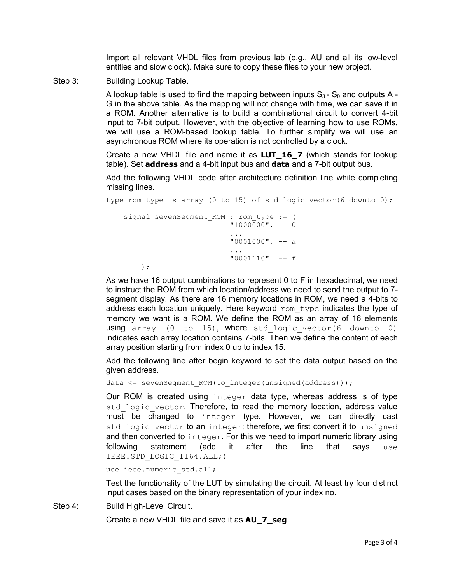Import all relevant VHDL files from previous lab (e.g., AU and all its low-level entities and slow clock). Make sure to copy these files to your new project.

Step 3: Building Lookup Table.

A lookup table is used to find the mapping between inputs  $S_3 - S_0$  and outputs A -G in the above table. As the mapping will not change with time, we can save it in a ROM. Another alternative is to build a combinational circuit to convert 4-bit input to 7-bit output. However, with the objective of learning how to use ROMs, we will use a ROM-based lookup table. To further simplify we will use an asynchronous ROM where its operation is not controlled by a clock.

Create a new VHDL file and name it as **LUT\_16\_7** (which stands for lookup table). Set **address** and a 4-bit input bus and **data** and a 7-bit output bus.

Add the following VHDL code after architecture definition line while completing missing lines.

```
type rom type is array (0 to 15) of std logic vector(6 downto 0);
  signal sevenSegment ROM : rom type := (
                       "1000000", -- 0
                        ...
                       "0001000", -- a
...
                       "0001110" -- f
```
);

As we have 16 output combinations to represent 0 to F in hexadecimal, we need to instruct the ROM from which location/address we need to send the output to 7 segment display. As there are 16 memory locations in ROM, we need a 4-bits to address each location uniquely. Here keyword  $\text{rom type}$  indicates the type of memory we want is a ROM. We define the ROM as an array of 16 elements using array (0 to 15), where std logic vector(6 downto 0) indicates each array location contains 7-bits. Then we define the content of each array position starting from index 0 up to index 15.

Add the following line after begin keyword to set the data output based on the given address.

data <= sevenSegment\_ROM(to\_integer(unsigned(address)));

Our ROM is created using integer data type, whereas address is of type std logic vector. Therefore, to read the memory location, address value must be changed to integer type. However, we can directly cast std logic vector to an integer; therefore, we first convert it to unsigned and then converted to integer. For this we need to import numeric library using following statement (add it after the line that says use IEEE.STD\_LOGIC\_1164.ALL;)

use ieee.numeric std.all;

Test the functionality of the LUT by simulating the circuit. At least try four distinct input cases based on the binary representation of your index no.

Step 4: Build High-Level Circuit.

Create a new VHDL file and save it as **AU\_7\_seg**.